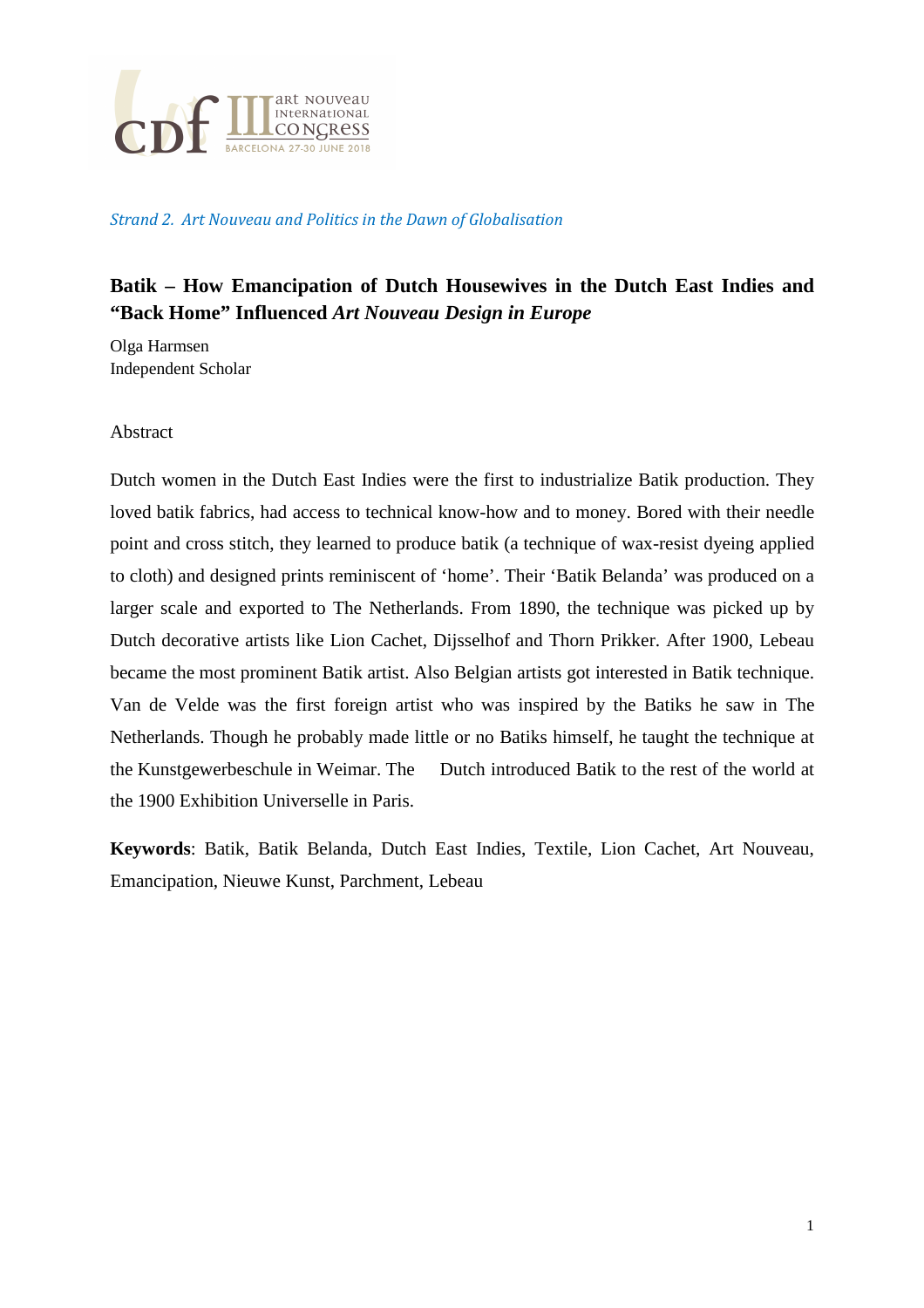

#### Strand 2. Art Nouveau and Politics in the Dawn of Globalisation

# **Batik – How Emancipation of Dutch Housewives in the Dutch East Indies and "Back Home" Influenced** *Art Nouveau Design in Europe*

Olga Harmsen Independent Scholar

#### Abstract

Dutch women in the Dutch East Indies were the first to industrialize Batik production. They loved batik fabrics, had access to technical know-how and to money. Bored with their needle point and cross stitch, they learned to produce batik (a technique of wax-resist dyeing applied to cloth) and designed prints reminiscent of 'home'. Their 'Batik Belanda' was produced on a larger scale and exported to The Netherlands. From 1890, the technique was picked up by Dutch decorative artists like Lion Cachet, Dijsselhof and Thorn Prikker. After 1900, Lebeau became the most prominent Batik artist. Also Belgian artists got interested in Batik technique. Van de Velde was the first foreign artist who was inspired by the Batiks he saw in The Netherlands. Though he probably made little or no Batiks himself, he taught the technique at the Kunstgewerbeschule in Weimar. The Dutch introduced Batik to the rest of the world at the 1900 Exhibition Universelle in Paris.

**Keywords**: Batik, Batik Belanda, Dutch East Indies, Textile, Lion Cachet, Art Nouveau, Emancipation, Nieuwe Kunst, Parchment, Lebeau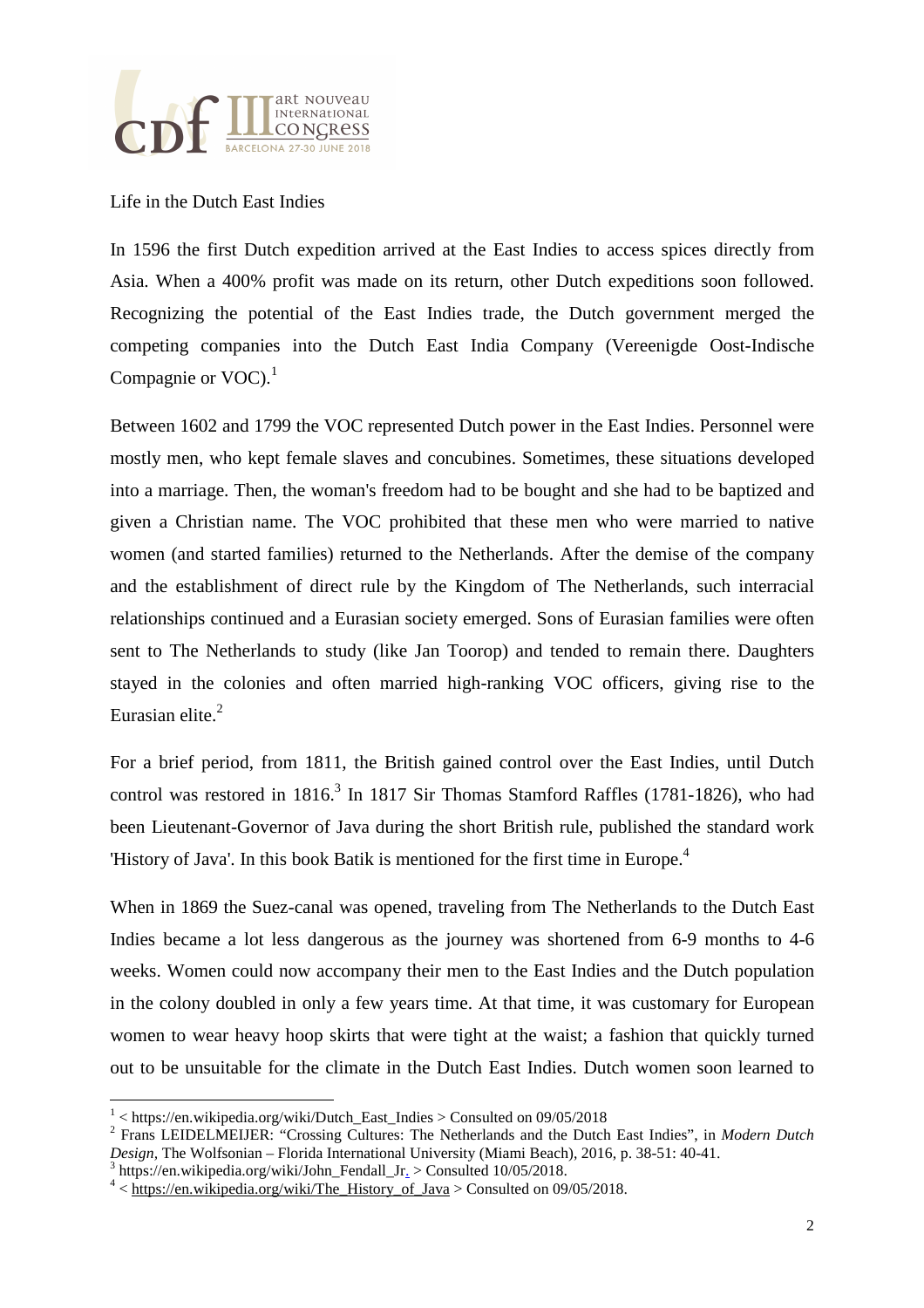

Life in the Dutch East Indies

In 1596 the first Dutch expedition arrived at the East Indies to access spices directly from Asia. When a 400% profit was made on its return, other Dutch expeditions soon followed. Recognizing the potential of the East Indies trade, the Dutch government merged the competing companies into the Dutch East India Company (Vereenigde Oost-Indische Compagnie or  $VOC$ ).<sup>1</sup>

Between 1602 and 1799 the VOC represented Dutch power in the East Indies. Personnel were mostly men, who kept female slaves and concubines. Sometimes, these situations developed into a marriage. Then, the woman's freedom had to be bought and she had to be baptized and given a Christian name. The VOC prohibited that these men who were married to native women (and started families) returned to the Netherlands. After the demise of the company and the establishment of direct rule by the Kingdom of The Netherlands, such interracial relationships continued and a Eurasian society emerged. Sons of Eurasian families were often sent to The Netherlands to study (like Jan Toorop) and tended to remain there. Daughters stayed in the colonies and often married high-ranking VOC officers, giving rise to the Eurasian elite.<sup>2</sup>

For a brief period, from 1811, the British gained control over the East Indies, until Dutch control was restored in  $1816<sup>3</sup>$  In 1817 Sir Thomas Stamford Raffles (1781-1826), who had been Lieutenant-Governor of Java during the short British rule, published the standard work 'History of Java'. In this book Batik is mentioned for the first time in Europe.<sup>4</sup>

When in 1869 the Suez-canal was opened, traveling from The Netherlands to the Dutch East Indies became a lot less dangerous as the journey was shortened from 6-9 months to 4-6 weeks. Women could now accompany their men to the East Indies and the Dutch population in the colony doubled in only a few years time. At that time, it was customary for European women to wear heavy hoop skirts that were tight at the waist; a fashion that quickly turned out to be unsuitable for the climate in the Dutch East Indies. Dutch women soon learned to

<sup>&</sup>lt;sup>1</sup> < https://en.wikipedia.org/wiki/Dutch\_East\_Indies > Consulted on 09/05/2018

<sup>2</sup> Frans LEIDELMEIJER: "Crossing Cultures: The Netherlands and the Dutch East Indies", in *Modern Dutch Design,* The Wolfsonian – Florida International University (Miami Beach), 2016, p. 38-51: 40-41.

<sup>&</sup>lt;sup>3</sup> https://en.wikipedia.org/wiki/John\_Fendall\_Jr. > Consulted 10/05/2018.

 $4 <$ https://en.wikipedia.org/wiki/The History of Java > Consulted on 09/05/2018.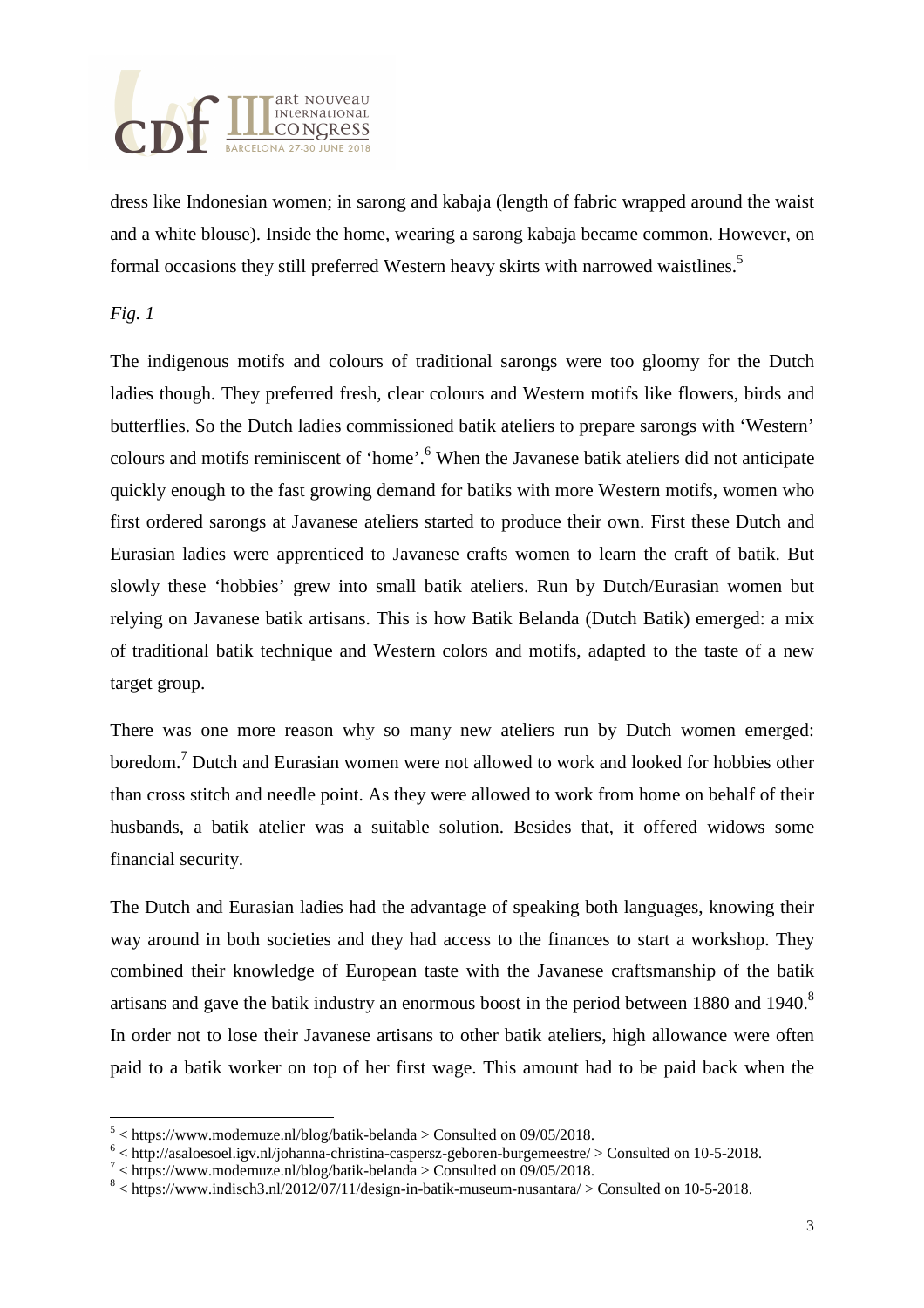

dress like Indonesian women; in sarong and kabaja (length of fabric wrapped around the waist and a white blouse). Inside the home, wearing a sarong kabaja became common. However, on formal occasions they still preferred Western heavy skirts with narrowed waistlines.<sup>5</sup>

#### *Fig. 1*

l

The indigenous motifs and colours of traditional sarongs were too gloomy for the Dutch ladies though. They preferred fresh, clear colours and Western motifs like flowers, birds and butterflies. So the Dutch ladies commissioned batik ateliers to prepare sarongs with 'Western' colours and motifs reminiscent of 'home'.<sup>6</sup> When the Javanese batik ateliers did not anticipate quickly enough to the fast growing demand for batiks with more Western motifs, women who first ordered sarongs at Javanese ateliers started to produce their own. First these Dutch and Eurasian ladies were apprenticed to Javanese crafts women to learn the craft of batik. But slowly these 'hobbies' grew into small batik ateliers. Run by Dutch/Eurasian women but relying on Javanese batik artisans. This is how Batik Belanda (Dutch Batik) emerged: a mix of traditional batik technique and Western colors and motifs, adapted to the taste of a new target group.

There was one more reason why so many new ateliers run by Dutch women emerged: boredom.<sup>7</sup> Dutch and Eurasian women were not allowed to work and looked for hobbies other than cross stitch and needle point. As they were allowed to work from home on behalf of their husbands, a batik atelier was a suitable solution. Besides that, it offered widows some financial security.

The Dutch and Eurasian ladies had the advantage of speaking both languages, knowing their way around in both societies and they had access to the finances to start a workshop. They combined their knowledge of European taste with the Javanese craftsmanship of the batik artisans and gave the batik industry an enormous boost in the period between 1880 and 1940.<sup>8</sup> In order not to lose their Javanese artisans to other batik ateliers, high allowance were often paid to a batik worker on top of her first wage. This amount had to be paid back when the

 $5$  < https://www.modemuze.nl/blog/batik-belanda > Consulted on 09/05/2018.

 $6$  < http://asaloesoel.igv.nl/johanna-christina-caspersz-geboren-burgemeestre/ > Consulted on 10-5-2018.

 $^7$  < https://www.modemuze.nl/blog/batik-belanda > Consulted on 09/05/2018.

 $8$  < https://www.indisch3.nl/2012/07/11/design-in-batik-museum-nusantara/ > Consulted on 10-5-2018.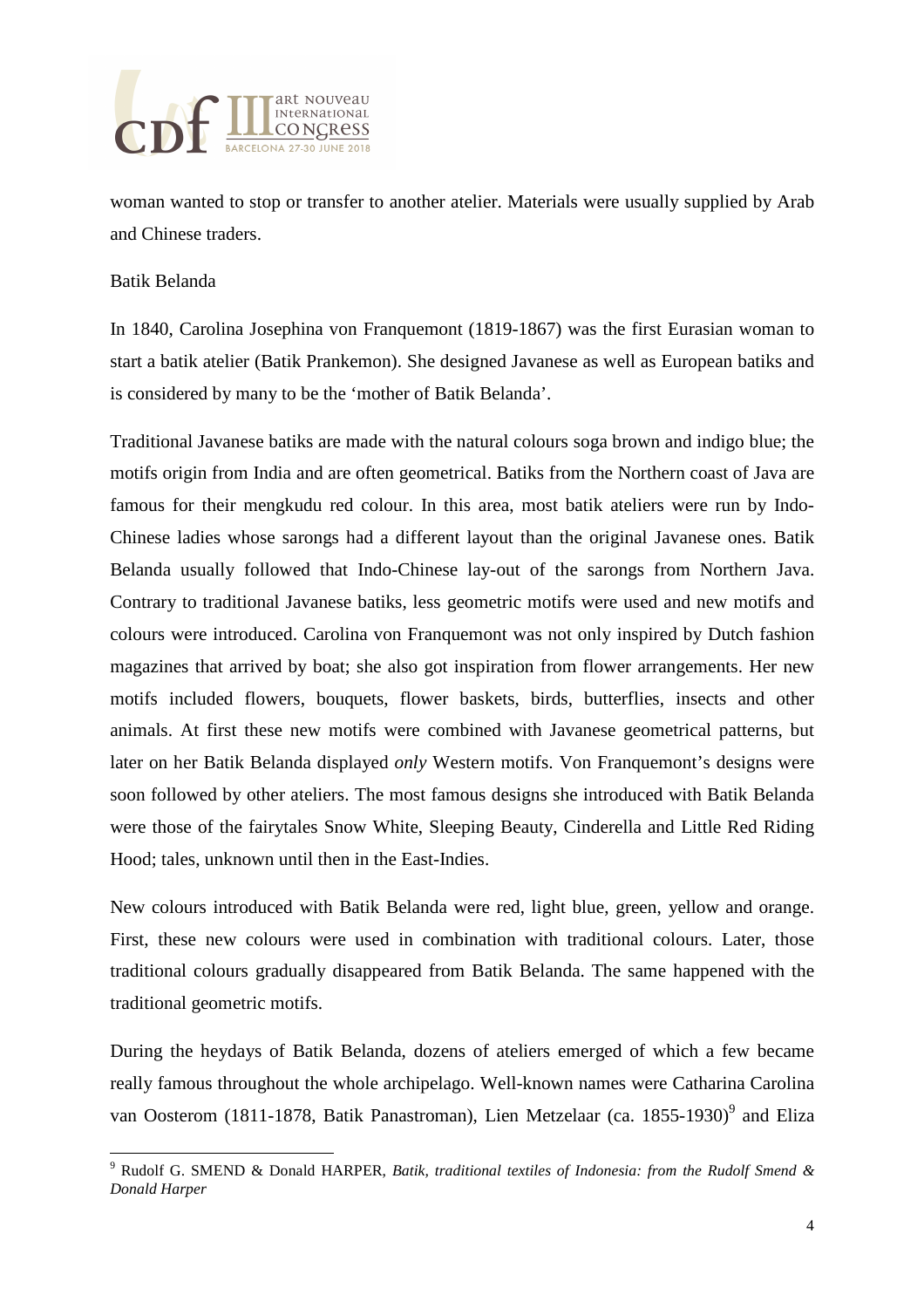

woman wanted to stop or transfer to another atelier. Materials were usually supplied by Arab and Chinese traders.

#### Batik Belanda

l

In 1840, Carolina Josephina von Franquemont (1819-1867) was the first Eurasian woman to start a batik atelier (Batik Prankemon). She designed Javanese as well as European batiks and is considered by many to be the 'mother of Batik Belanda'.

Traditional Javanese batiks are made with the natural colours soga brown and indigo blue; the motifs origin from India and are often geometrical. Batiks from the Northern coast of Java are famous for their mengkudu red colour. In this area, most batik ateliers were run by Indo-Chinese ladies whose sarongs had a different layout than the original Javanese ones. Batik Belanda usually followed that Indo-Chinese lay-out of the sarongs from Northern Java. Contrary to traditional Javanese batiks, less geometric motifs were used and new motifs and colours were introduced. Carolina von Franquemont was not only inspired by Dutch fashion magazines that arrived by boat; she also got inspiration from flower arrangements. Her new motifs included flowers, bouquets, flower baskets, birds, butterflies, insects and other animals. At first these new motifs were combined with Javanese geometrical patterns, but later on her Batik Belanda displayed *only* Western motifs. Von Franquemont's designs were soon followed by other ateliers. The most famous designs she introduced with Batik Belanda were those of the fairytales Snow White, Sleeping Beauty, Cinderella and Little Red Riding Hood; tales, unknown until then in the East-Indies.

New colours introduced with Batik Belanda were red, light blue, green, yellow and orange. First, these new colours were used in combination with traditional colours. Later, those traditional colours gradually disappeared from Batik Belanda. The same happened with the traditional geometric motifs.

During the heydays of Batik Belanda, dozens of ateliers emerged of which a few became really famous throughout the whole archipelago. Well-known names were Catharina Carolina van Oosterom (1811-1878, Batik Panastroman), Lien Metzelaar (ca. 1855-1930)<sup>9</sup> and Eliza

<sup>9</sup> Rudolf G. SMEND & Donald HARPER, *Batik, traditional textiles of Indonesia: from the Rudolf Smend & Donald Harper*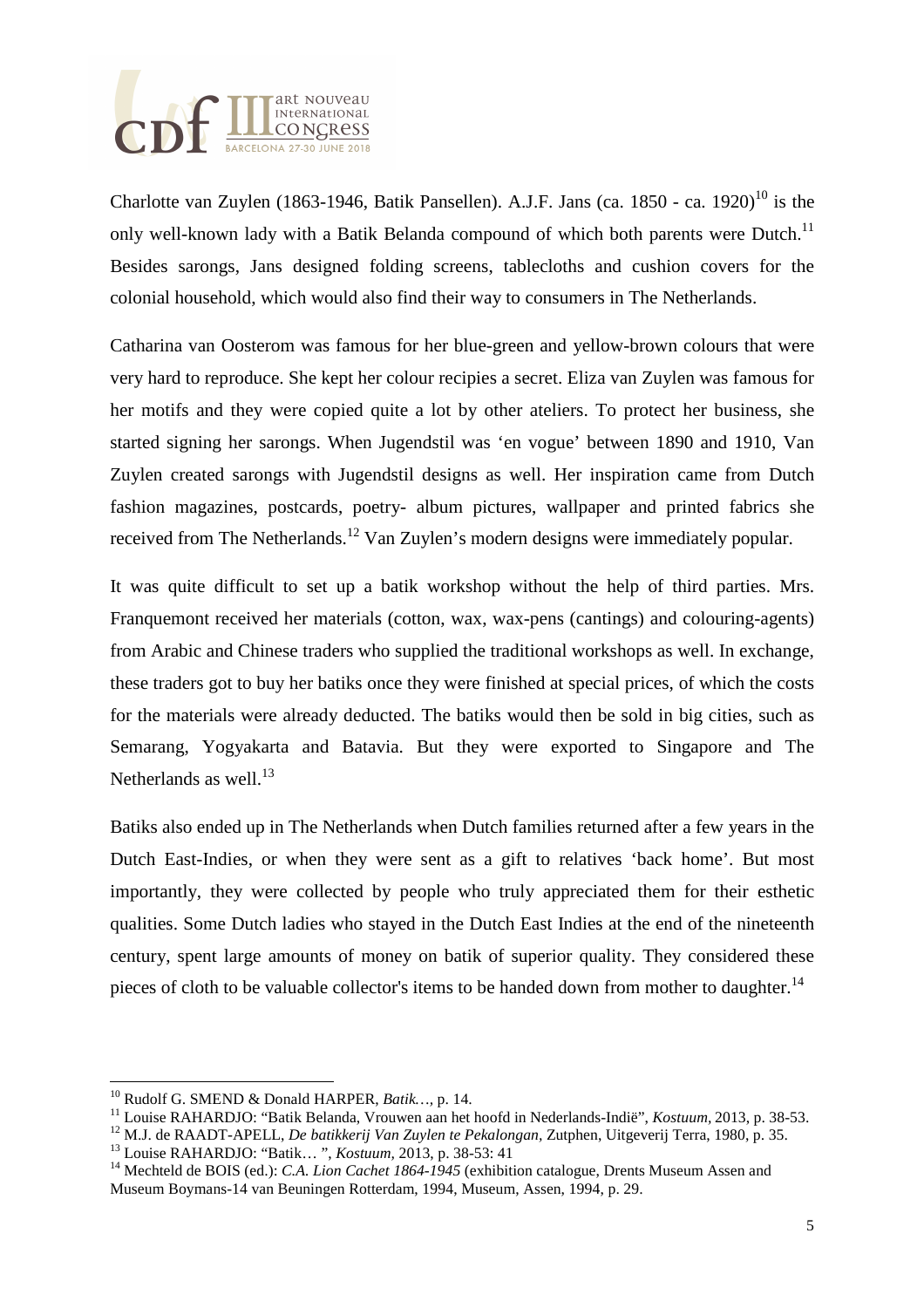

Charlotte van Zuylen (1863-1946, Batik Pansellen), A.J.F. Jans (ca. 1850 - ca. 1920)<sup>10</sup> is the only well-known lady with a Batik Belanda compound of which both parents were Dutch.<sup>11</sup> Besides sarongs, Jans designed folding screens, tablecloths and cushion covers for the colonial household, which would also find their way to consumers in The Netherlands.

Catharina van Oosterom was famous for her blue-green and yellow-brown colours that were very hard to reproduce. She kept her colour recipies a secret. Eliza van Zuylen was famous for her motifs and they were copied quite a lot by other ateliers. To protect her business, she started signing her sarongs. When Jugendstil was 'en vogue' between 1890 and 1910, Van Zuylen created sarongs with Jugendstil designs as well. Her inspiration came from Dutch fashion magazines, postcards, poetry- album pictures, wallpaper and printed fabrics she received from The Netherlands.<sup>12</sup> Van Zuylen's modern designs were immediately popular.

It was quite difficult to set up a batik workshop without the help of third parties. Mrs. Franquemont received her materials (cotton, wax, wax-pens (cantings) and colouring-agents) from Arabic and Chinese traders who supplied the traditional workshops as well. In exchange, these traders got to buy her batiks once they were finished at special prices, of which the costs for the materials were already deducted. The batiks would then be sold in big cities, such as Semarang, Yogyakarta and Batavia. But they were exported to Singapore and The Netherlands as well. $^{13}$ 

Batiks also ended up in The Netherlands when Dutch families returned after a few years in the Dutch East-Indies, or when they were sent as a gift to relatives 'back home'. But most importantly, they were collected by people who truly appreciated them for their esthetic qualities. Some Dutch ladies who stayed in the Dutch East Indies at the end of the nineteenth century, spent large amounts of money on batik of superior quality. They considered these pieces of cloth to be valuable collector's items to be handed down from mother to daughter.<sup>14</sup>

 $\overline{a}$ 

<sup>10</sup> Rudolf G. SMEND & Donald HARPER, *Batik…,* p. 14.

<sup>11</sup> Louise RAHARDJO: "Batik Belanda, Vrouwen aan het hoofd in Nederlands-Indië", *Kostuum,* 2013, p. 38-53.

<sup>12</sup> M.J. de RAADT-APELL, *De batikkerij Van Zuylen te Pekalongan,* Zutphen, Uitgeverij Terra, 1980, p. 35.

<sup>13</sup> Louise RAHARDJO: "Batik… ", *Kostuum,* 2013, p. 38-53: 41

<sup>14</sup> Mechteld de BOIS (ed.): *C.A. Lion Cachet 1864-1945* (exhibition catalogue, Drents Museum Assen and Museum Boymans-14 van Beuningen Rotterdam, 1994, Museum, Assen, 1994, p. 29.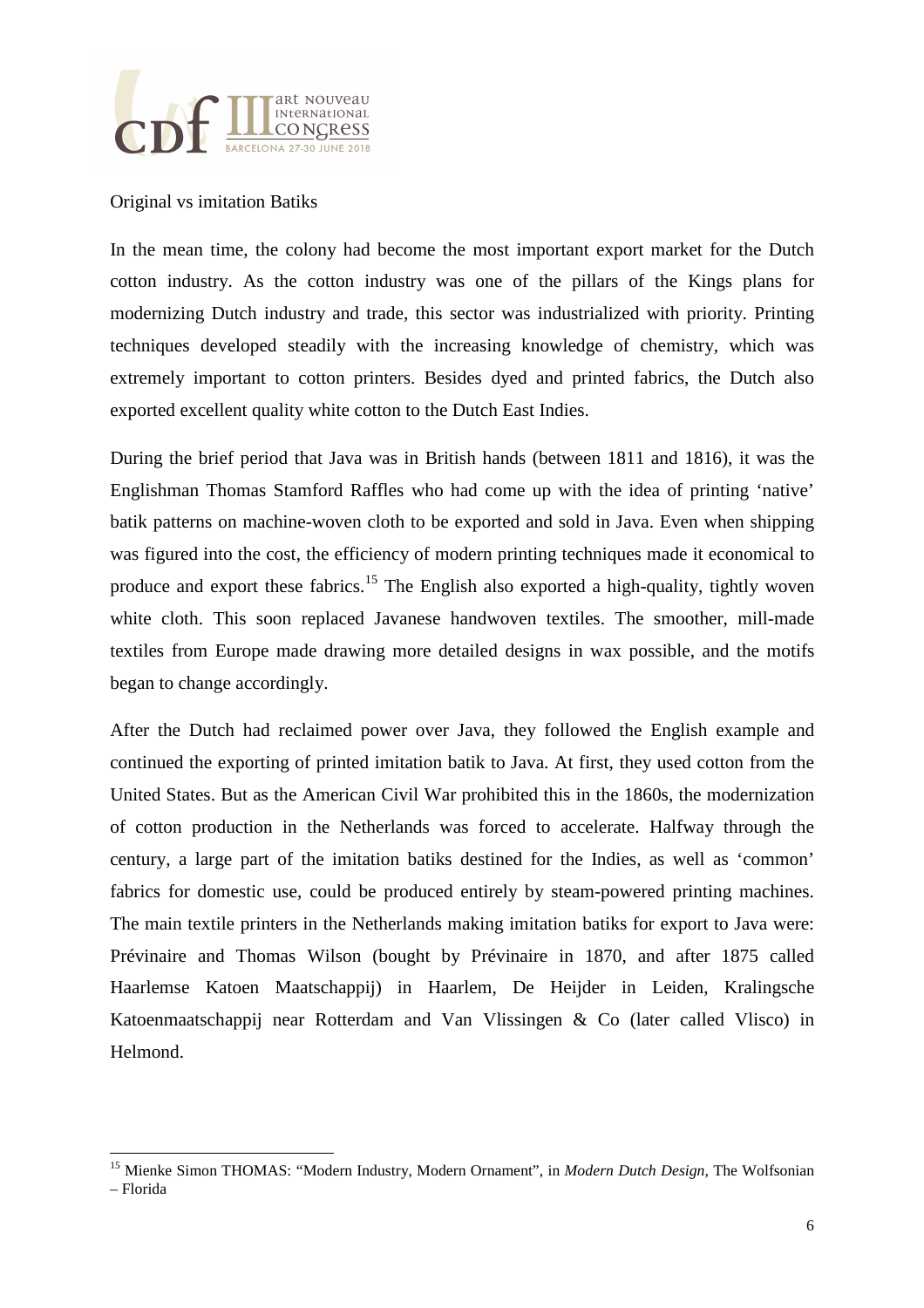

#### Original vs imitation Batiks

In the mean time, the colony had become the most important export market for the Dutch cotton industry. As the cotton industry was one of the pillars of the Kings plans for modernizing Dutch industry and trade, this sector was industrialized with priority. Printing techniques developed steadily with the increasing knowledge of chemistry, which was extremely important to cotton printers. Besides dyed and printed fabrics, the Dutch also exported excellent quality white cotton to the Dutch East Indies.

During the brief period that Java was in British hands (between 1811 and 1816), it was the Englishman Thomas Stamford Raffles who had come up with the idea of printing 'native' batik patterns on machine-woven cloth to be exported and sold in Java. Even when shipping was figured into the cost, the efficiency of modern printing techniques made it economical to produce and export these fabrics.<sup>15</sup> The English also exported a high-quality, tightly woven white cloth. This soon replaced Javanese handwoven textiles. The smoother, mill-made textiles from Europe made drawing more detailed designs in wax possible, and the motifs began to change accordingly.

After the Dutch had reclaimed power over Java, they followed the English example and continued the exporting of printed imitation batik to Java. At first, they used cotton from the United States. But as the American Civil War prohibited this in the 1860s, the modernization of cotton production in the Netherlands was forced to accelerate. Halfway through the century, a large part of the imitation batiks destined for the Indies, as well as 'common' fabrics for domestic use, could be produced entirely by steam-powered printing machines. The main textile printers in the Netherlands making imitation batiks for export to Java were: Prévinaire and Thomas Wilson (bought by Prévinaire in 1870, and after 1875 called Haarlemse Katoen Maatschappij) in Haarlem, De Heijder in Leiden, Kralingsche Katoenmaatschappij near Rotterdam and Van Vlissingen & Co (later called Vlisco) in Helmond.

<sup>15</sup> Mienke Simon THOMAS: "Modern Industry, Modern Ornament", in *Modern Dutch Design,* The Wolfsonian

<sup>–</sup> Florida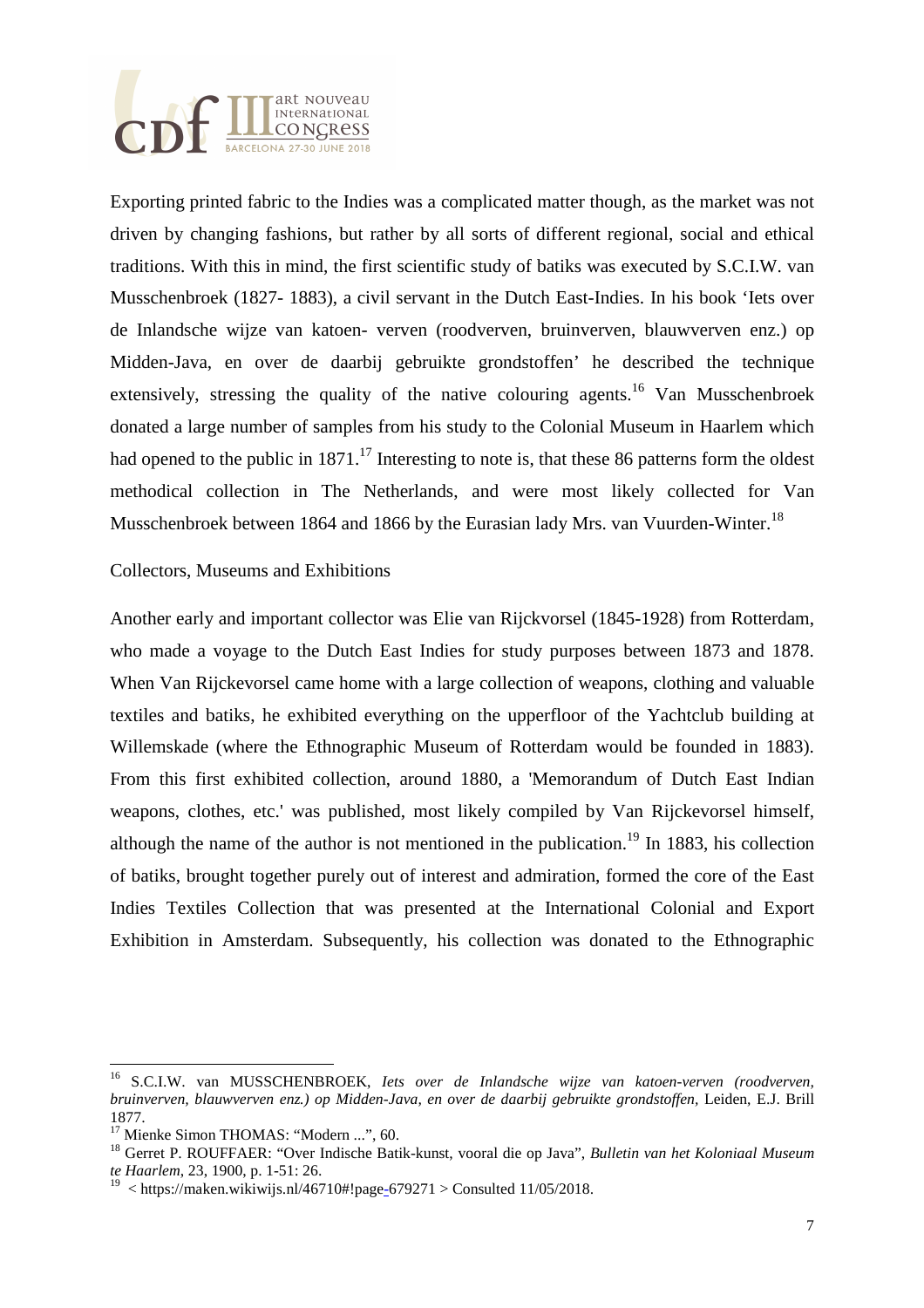

Exporting printed fabric to the Indies was a complicated matter though, as the market was not driven by changing fashions, but rather by all sorts of different regional, social and ethical traditions. With this in mind, the first scientific study of batiks was executed by S.C.I.W. van Musschenbroek (1827- 1883), a civil servant in the Dutch East-Indies. In his book 'Iets over de Inlandsche wijze van katoen- verven (roodverven, bruinverven, blauwverven enz.) op Midden-Java, en over de daarbij gebruikte grondstoffen' he described the technique extensively, stressing the quality of the native colouring agents.<sup>16</sup> Van Musschenbroek donated a large number of samples from his study to the Colonial Museum in Haarlem which had opened to the public in  $1871$ .<sup>17</sup> Interesting to note is, that these 86 patterns form the oldest methodical collection in The Netherlands, and were most likely collected for Van Musschenbroek between 1864 and 1866 by the Eurasian lady Mrs. van Vuurden-Winter.<sup>18</sup>

#### Collectors, Museums and Exhibitions

Another early and important collector was Elie van Rijckvorsel (1845-1928) from Rotterdam, who made a voyage to the Dutch East Indies for study purposes between 1873 and 1878. When Van Rijckevorsel came home with a large collection of weapons, clothing and valuable textiles and batiks, he exhibited everything on the upperfloor of the Yachtclub building at Willemskade (where the Ethnographic Museum of Rotterdam would be founded in 1883). From this first exhibited collection, around 1880, a 'Memorandum of Dutch East Indian weapons, clothes, etc.' was published, most likely compiled by Van Rijckevorsel himself, although the name of the author is not mentioned in the publication.<sup>19</sup> In 1883, his collection of batiks, brought together purely out of interest and admiration, formed the core of the East Indies Textiles Collection that was presented at the International Colonial and Export Exhibition in Amsterdam. Subsequently, his collection was donated to the Ethnographic

<sup>16</sup> S.C.I.W. van MUSSCHENBROEK, *Iets over de Inlandsche wijze van katoen-verven (roodverven, bruinverven, blauwverven enz.) op Midden-Java, en over de daarbij gebruikte grondstoffen,* Leiden, E.J. Brill 1877.

<sup>&</sup>lt;sup>17</sup> Mienke Simon THOMAS: "Modern ...", 60.

<sup>18</sup> Gerret P. ROUFFAER: "Over Indische Batik-kunst, vooral die op Java", *Bulletin van het Koloniaal Museum te Haarlem*, 23, 1900, p. 1-51: 26.

<sup>&</sup>lt;sup>19</sup> < https://maken.wikiwijs.nl/46710#!page-679271 > Consulted 11/05/2018.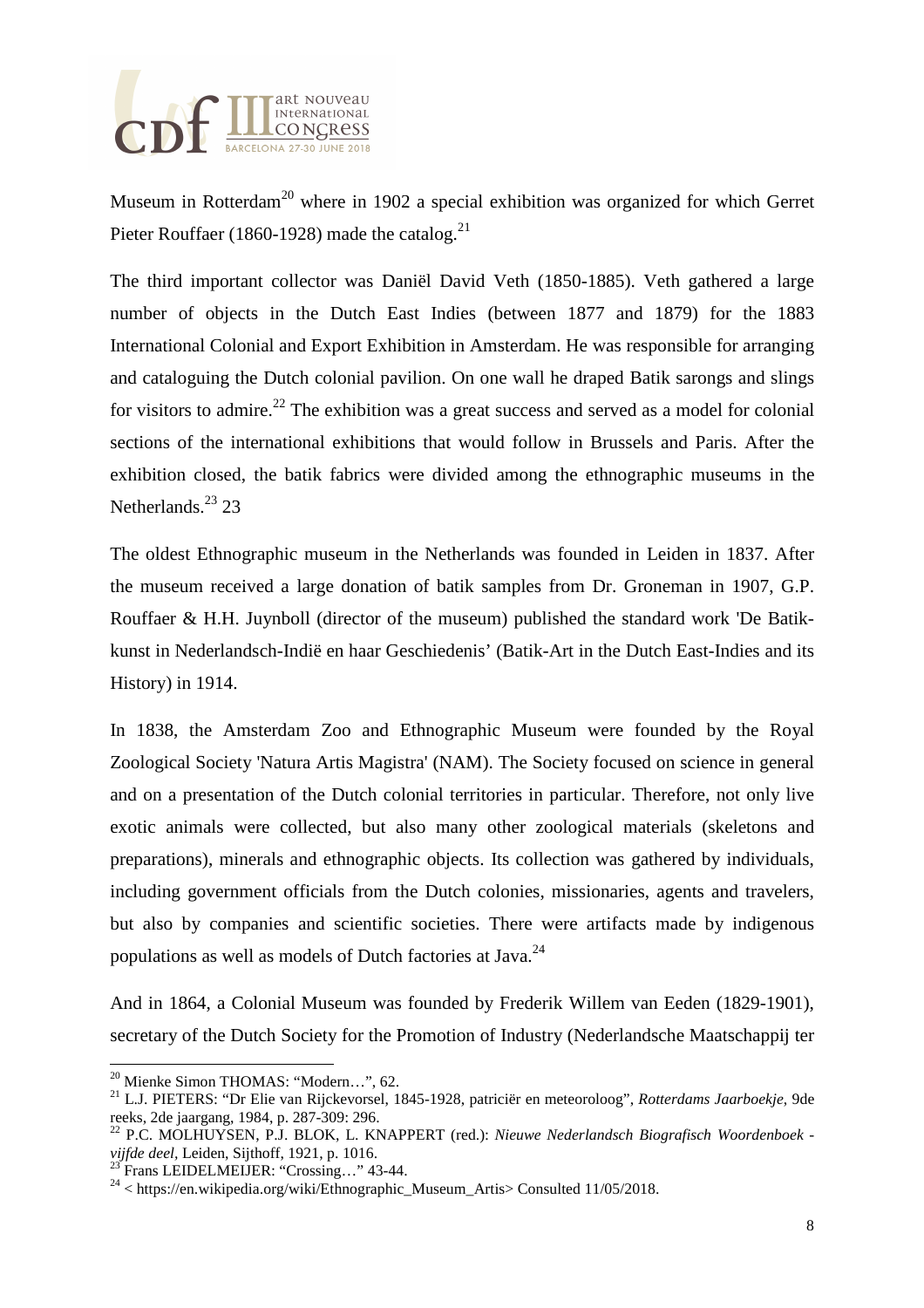

Museum in Rotterdam<sup>20</sup> where in 1902 a special exhibition was organized for which Gerret Pieter Rouffaer (1860-1928) made the catalog.<sup>21</sup>

The third important collector was Daniël David Veth (1850-1885). Veth gathered a large number of objects in the Dutch East Indies (between 1877 and 1879) for the 1883 International Colonial and Export Exhibition in Amsterdam. He was responsible for arranging and cataloguing the Dutch colonial pavilion. On one wall he draped Batik sarongs and slings for visitors to admire.<sup>22</sup> The exhibition was a great success and served as a model for colonial sections of the international exhibitions that would follow in Brussels and Paris. After the exhibition closed, the batik fabrics were divided among the ethnographic museums in the Netherlands.<sup>23</sup> 23

The oldest Ethnographic museum in the Netherlands was founded in Leiden in 1837. After the museum received a large donation of batik samples from Dr. Groneman in 1907, G.P. Rouffaer & H.H. Juynboll (director of the museum) published the standard work 'De Batikkunst in Nederlandsch-Indië en haar Geschiedenis' (Batik-Art in the Dutch East-Indies and its History) in 1914.

In 1838, the Amsterdam Zoo and Ethnographic Museum were founded by the Royal Zoological Society 'Natura Artis Magistra' (NAM). The Society focused on science in general and on a presentation of the Dutch colonial territories in particular. Therefore, not only live exotic animals were collected, but also many other zoological materials (skeletons and preparations), minerals and ethnographic objects. Its collection was gathered by individuals, including government officials from the Dutch colonies, missionaries, agents and travelers, but also by companies and scientific societies. There were artifacts made by indigenous populations as well as models of Dutch factories at Java.<sup>24</sup>

And in 1864, a Colonial Museum was founded by Frederik Willem van Eeden (1829-1901), secretary of the Dutch Society for the Promotion of Industry (Nederlandsche Maatschappij ter

<sup>20</sup> Mienke Simon THOMAS: "Modern…", 62.

<sup>21</sup> L.J. PIETERS: "Dr Elie van Rijckevorsel, 1845-1928, patriciër en meteoroloog", *Rotterdams Jaarboekje*, 9de reeks, 2de jaargang, 1984, p. 287-309: 296.

<sup>22</sup> P.C. MOLHUYSEN, P.J. BLOK, L. KNAPPERT (red.): *Nieuwe Nederlandsch Biografisch Woordenboek vijfde deel,* Leiden, Sijthoff, 1921, p. 1016.

Frans LEIDELMEIJER: "Crossing..." 43-44.

 $^{24}$  < https://en.wikipedia.org/wiki/Ethnographic\_Museum\_Artis> Consulted 11/05/2018.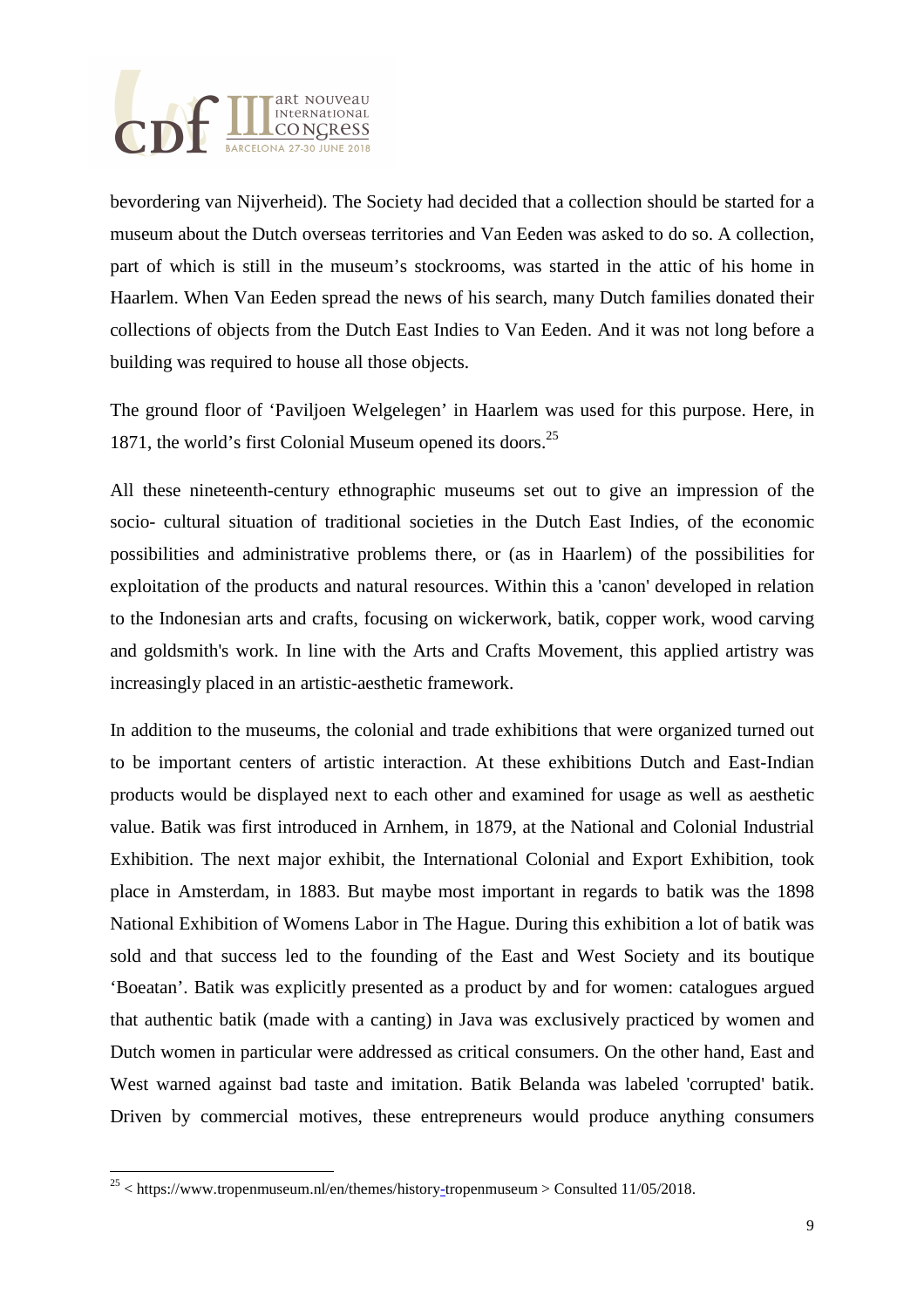

bevordering van Nijverheid). The Society had decided that a collection should be started for a museum about the Dutch overseas territories and Van Eeden was asked to do so. A collection, part of which is still in the museum's stockrooms, was started in the attic of his home in Haarlem. When Van Eeden spread the news of his search, many Dutch families donated their collections of objects from the Dutch East Indies to Van Eeden. And it was not long before a building was required to house all those objects.

The ground floor of 'Paviljoen Welgelegen' in Haarlem was used for this purpose. Here, in 1871, the world's first Colonial Museum opened its doors.<sup>25</sup>

All these nineteenth-century ethnographic museums set out to give an impression of the socio- cultural situation of traditional societies in the Dutch East Indies, of the economic possibilities and administrative problems there, or (as in Haarlem) of the possibilities for exploitation of the products and natural resources. Within this a 'canon' developed in relation to the Indonesian arts and crafts, focusing on wickerwork, batik, copper work, wood carving and goldsmith's work. In line with the Arts and Crafts Movement, this applied artistry was increasingly placed in an artistic-aesthetic framework.

In addition to the museums, the colonial and trade exhibitions that were organized turned out to be important centers of artistic interaction. At these exhibitions Dutch and East-Indian products would be displayed next to each other and examined for usage as well as aesthetic value. Batik was first introduced in Arnhem, in 1879, at the National and Colonial Industrial Exhibition. The next major exhibit, the International Colonial and Export Exhibition, took place in Amsterdam, in 1883. But maybe most important in regards to batik was the 1898 National Exhibition of Womens Labor in The Hague. During this exhibition a lot of batik was sold and that success led to the founding of the East and West Society and its boutique 'Boeatan'. Batik was explicitly presented as a product by and for women: catalogues argued that authentic batik (made with a canting) in Java was exclusively practiced by women and Dutch women in particular were addressed as critical consumers. On the other hand, East and West warned against bad taste and imitation. Batik Belanda was labeled 'corrupted' batik. Driven by commercial motives, these entrepreneurs would produce anything consumers

 $25$  < https://www.tropenmuseum.nl/en/themes/history-tropenmuseum > Consulted 11/05/2018.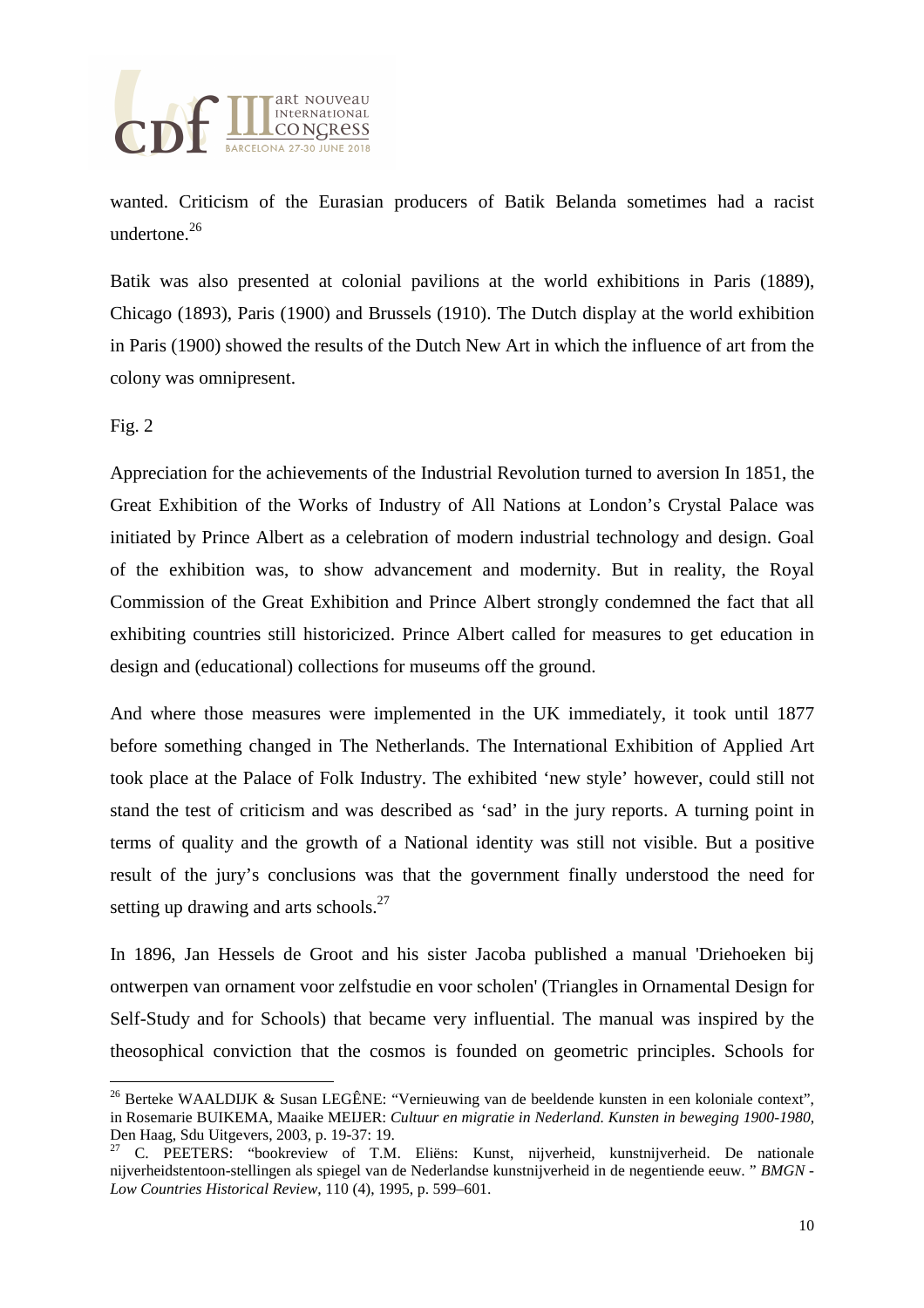

wanted. Criticism of the Eurasian producers of Batik Belanda sometimes had a racist undertone.<sup>26</sup>

Batik was also presented at colonial pavilions at the world exhibitions in Paris (1889), Chicago (1893), Paris (1900) and Brussels (1910). The Dutch display at the world exhibition in Paris (1900) showed the results of the Dutch New Art in which the influence of art from the colony was omnipresent.

Fig. 2

 $\overline{a}$ 

Appreciation for the achievements of the Industrial Revolution turned to aversion In 1851, the Great Exhibition of the Works of Industry of All Nations at London's Crystal Palace was initiated by Prince Albert as a celebration of modern industrial technology and design. Goal of the exhibition was, to show advancement and modernity. But in reality, the Royal Commission of the Great Exhibition and Prince Albert strongly condemned the fact that all exhibiting countries still historicized. Prince Albert called for measures to get education in design and (educational) collections for museums off the ground.

And where those measures were implemented in the UK immediately, it took until 1877 before something changed in The Netherlands. The International Exhibition of Applied Art took place at the Palace of Folk Industry. The exhibited 'new style' however, could still not stand the test of criticism and was described as 'sad' in the jury reports. A turning point in terms of quality and the growth of a National identity was still not visible. But a positive result of the jury's conclusions was that the government finally understood the need for setting up drawing and arts schools.<sup>27</sup>

In 1896, Jan Hessels de Groot and his sister Jacoba published a manual 'Driehoeken bij ontwerpen van ornament voor zelfstudie en voor scholen' (Triangles in Ornamental Design for Self-Study and for Schools) that became very influential. The manual was inspired by the theosophical conviction that the cosmos is founded on geometric principles. Schools for

<sup>&</sup>lt;sup>26</sup> Berteke WAALDIJK & Susan LEGÊNE: "Vernieuwing van de beeldende kunsten in een koloniale context", in Rosemarie BUIKEMA, Maaike MEIJER: *Cultuur en migratie in Nederland. Kunsten in beweging 1900-1980*, Den Haag, Sdu Uitgevers, 2003, p. 19-37: 19.

C. PEETERS: "bookreview of T.M. Eliëns: Kunst, nijverheid, kunstnijverheid. De nationale nijverheidstentoon-stellingen als spiegel van de Nederlandse kunstnijverheid in de negentiende eeuw. " *BMGN - Low Countries Historical Review*, 110 (4), 1995, p. 599–601.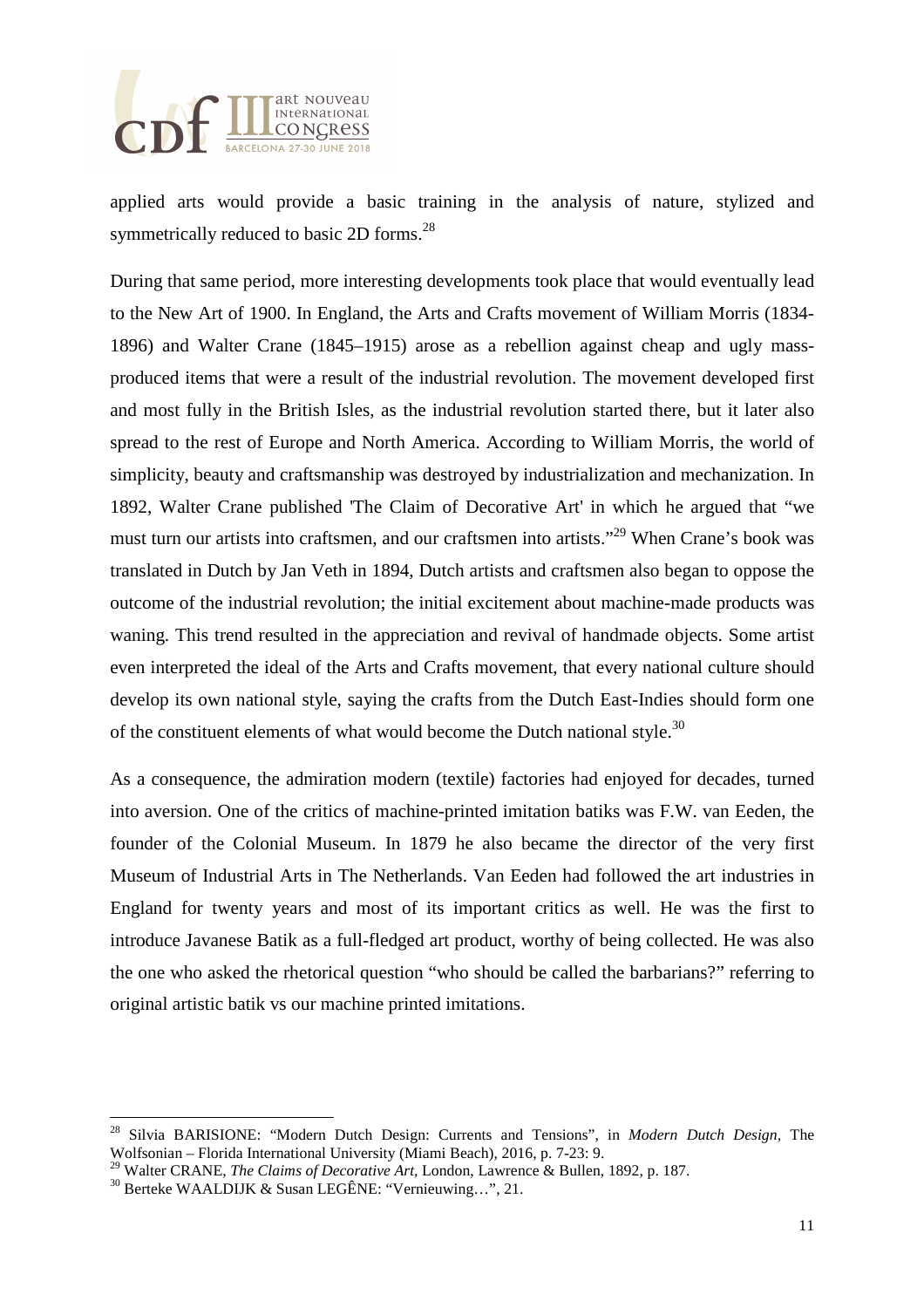

applied arts would provide a basic training in the analysis of nature, stylized and symmetrically reduced to basic 2D forms.<sup>28</sup>

During that same period, more interesting developments took place that would eventually lead to the New Art of 1900. In England, the Arts and Crafts movement of William Morris (1834- 1896) and Walter Crane (1845–1915) arose as a rebellion against cheap and ugly massproduced items that were a result of the industrial revolution. The movement developed first and most fully in the British Isles, as the industrial revolution started there, but it later also spread to the rest of Europe and North America. According to William Morris, the world of simplicity, beauty and craftsmanship was destroyed by industrialization and mechanization. In 1892, Walter Crane published 'The Claim of Decorative Art' in which he argued that "we must turn our artists into craftsmen, and our craftsmen into artists."<sup>29</sup> When Crane's book was translated in Dutch by Jan Veth in 1894, Dutch artists and craftsmen also began to oppose the outcome of the industrial revolution; the initial excitement about machine-made products was waning. This trend resulted in the appreciation and revival of handmade objects. Some artist even interpreted the ideal of the Arts and Crafts movement, that every national culture should develop its own national style, saying the crafts from the Dutch East-Indies should form one of the constituent elements of what would become the Dutch national style.<sup>30</sup>

As a consequence, the admiration modern (textile) factories had enjoyed for decades, turned into aversion. One of the critics of machine-printed imitation batiks was F.W. van Eeden, the founder of the Colonial Museum. In 1879 he also became the director of the very first Museum of Industrial Arts in The Netherlands. Van Eeden had followed the art industries in England for twenty years and most of its important critics as well. He was the first to introduce Javanese Batik as a full-fledged art product, worthy of being collected. He was also the one who asked the rhetorical question "who should be called the barbarians?" referring to original artistic batik vs our machine printed imitations.

<sup>28</sup> Silvia BARISIONE: "Modern Dutch Design: Currents and Tensions", in *Modern Dutch Design,* The Wolfsonian – Florida International University (Miami Beach), 2016, p. 7-23: 9.

<sup>29</sup> Walter CRANE, *The Claims of Decorative Art,* London, Lawrence & Bullen, 1892, p. 187.

<sup>30</sup> Berteke WAALDIJK & Susan LEGÊNE: "Vernieuwing…", 21.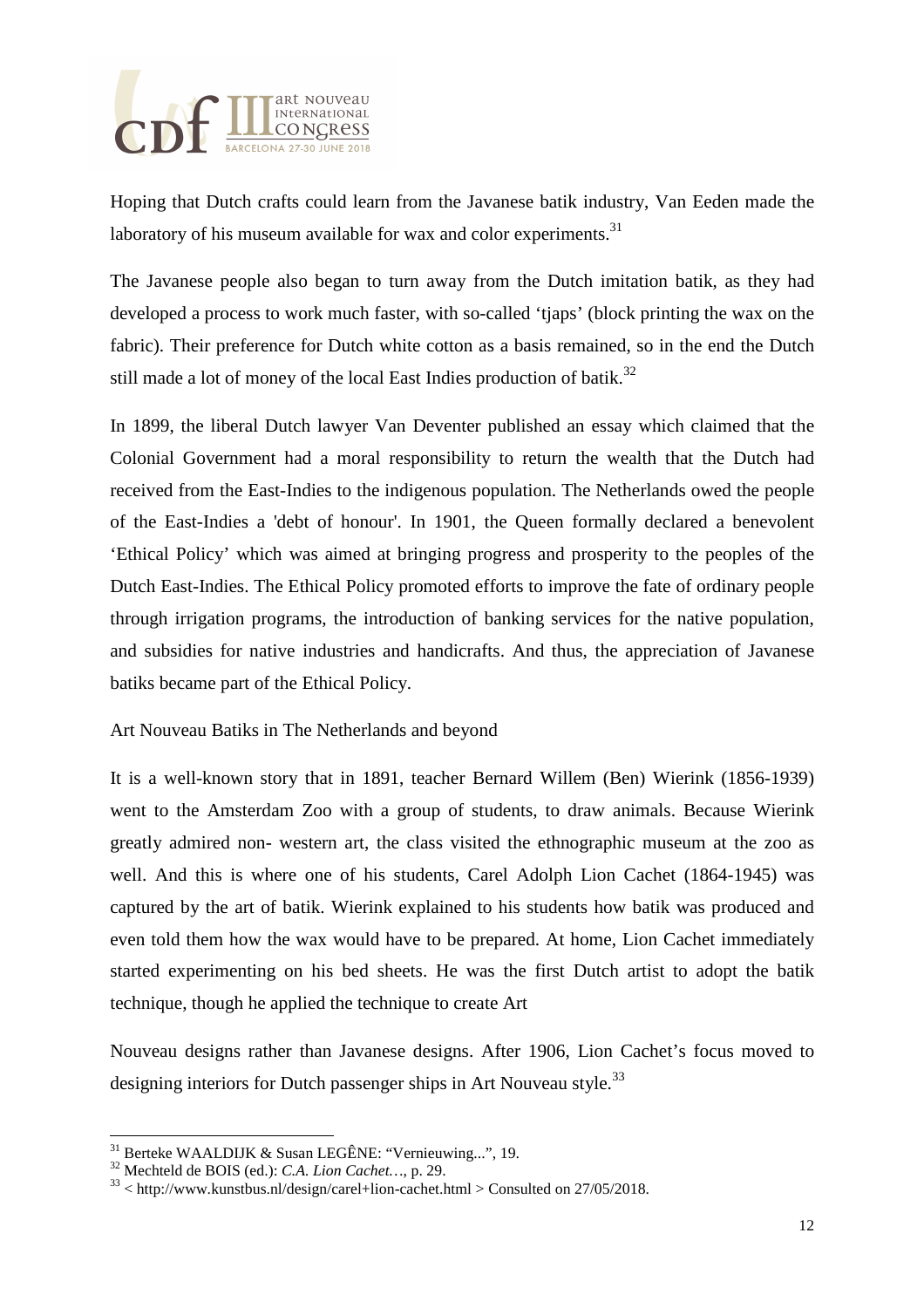

Hoping that Dutch crafts could learn from the Javanese batik industry, Van Eeden made the laboratory of his museum available for wax and color experiments. $31$ 

The Javanese people also began to turn away from the Dutch imitation batik, as they had developed a process to work much faster, with so-called 'tjaps' (block printing the wax on the fabric). Their preference for Dutch white cotton as a basis remained, so in the end the Dutch still made a lot of money of the local East Indies production of batik.<sup>32</sup>

In 1899, the liberal Dutch lawyer Van Deventer published an essay which claimed that the Colonial Government had a moral responsibility to return the wealth that the Dutch had received from the East-Indies to the indigenous population. The Netherlands owed the people of the East-Indies a 'debt of honour'. In 1901, the Queen formally declared a benevolent 'Ethical Policy' which was aimed at bringing progress and prosperity to the peoples of the Dutch East-Indies. The Ethical Policy promoted efforts to improve the fate of ordinary people through irrigation programs, the introduction of banking services for the native population, and subsidies for native industries and handicrafts. And thus, the appreciation of Javanese batiks became part of the Ethical Policy.

Art Nouveau Batiks in The Netherlands and beyond

It is a well-known story that in 1891, teacher Bernard Willem (Ben) Wierink (1856-1939) went to the Amsterdam Zoo with a group of students, to draw animals. Because Wierink greatly admired non- western art, the class visited the ethnographic museum at the zoo as well. And this is where one of his students, Carel Adolph Lion Cachet (1864-1945) was captured by the art of batik. Wierink explained to his students how batik was produced and even told them how the wax would have to be prepared. At home, Lion Cachet immediately started experimenting on his bed sheets. He was the first Dutch artist to adopt the batik technique, though he applied the technique to create Art

Nouveau designs rather than Javanese designs. After 1906, Lion Cachet's focus moved to designing interiors for Dutch passenger ships in Art Nouveau style.<sup>33</sup>

 $\overline{a}$ 

<sup>31</sup> Berteke WAALDIJK & Susan LEGÊNE: "Vernieuwing...", 19.

<sup>32</sup> Mechteld de BOIS (ed.): *C.A. Lion Cachet…*, p. 29.

 $33$  < http://www.kunstbus.nl/design/carel+lion-cachet.html > Consulted on 27/05/2018.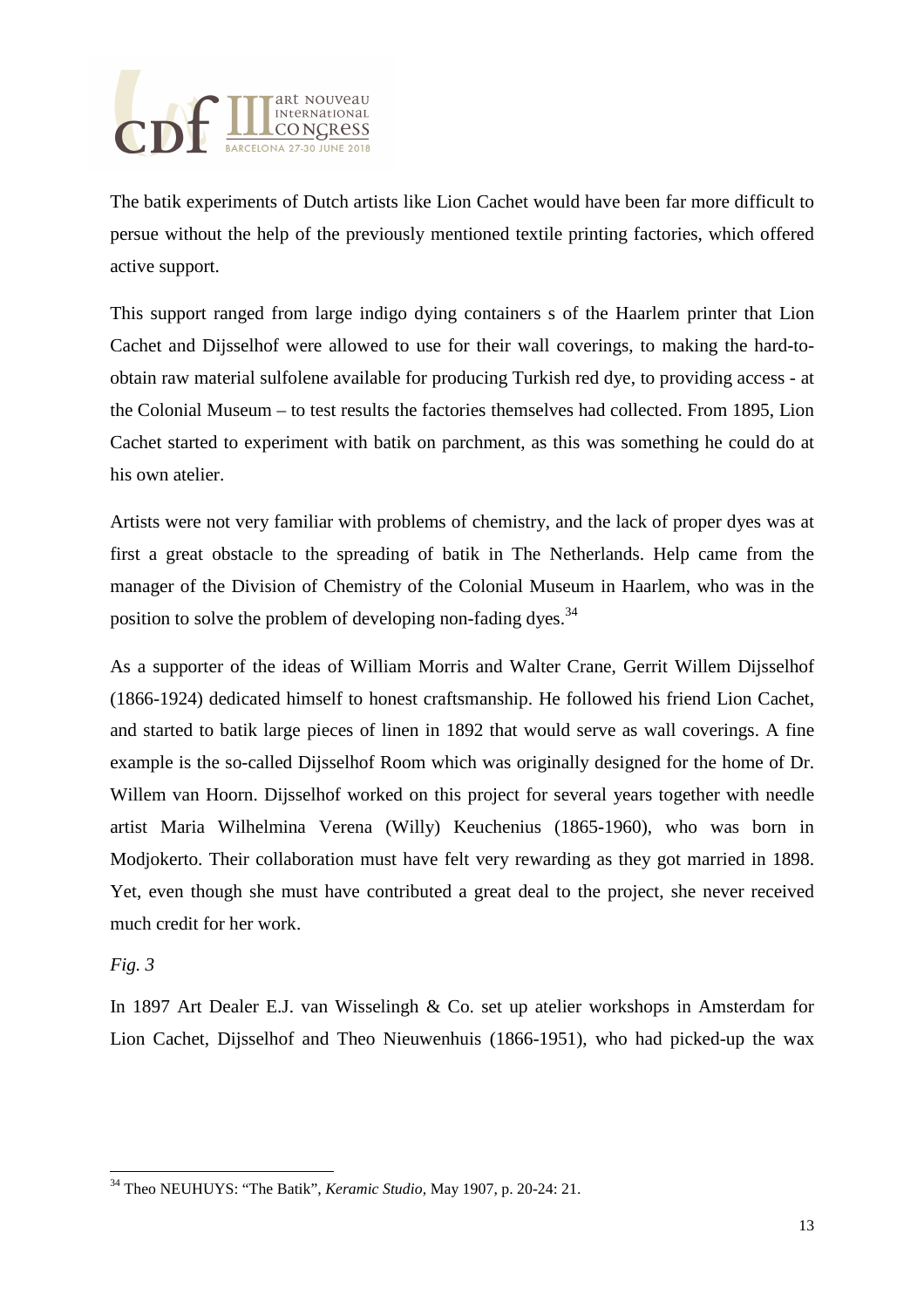

The batik experiments of Dutch artists like Lion Cachet would have been far more difficult to persue without the help of the previously mentioned textile printing factories, which offered active support.

This support ranged from large indigo dying containers s of the Haarlem printer that Lion Cachet and Dijsselhof were allowed to use for their wall coverings, to making the hard-toobtain raw material sulfolene available for producing Turkish red dye, to providing access - at the Colonial Museum – to test results the factories themselves had collected. From 1895, Lion Cachet started to experiment with batik on parchment, as this was something he could do at his own atelier.

Artists were not very familiar with problems of chemistry, and the lack of proper dyes was at first a great obstacle to the spreading of batik in The Netherlands. Help came from the manager of the Division of Chemistry of the Colonial Museum in Haarlem, who was in the position to solve the problem of developing non-fading dyes.<sup>34</sup>

As a supporter of the ideas of William Morris and Walter Crane, Gerrit Willem Dijsselhof (1866-1924) dedicated himself to honest craftsmanship. He followed his friend Lion Cachet, and started to batik large pieces of linen in 1892 that would serve as wall coverings. A fine example is the so-called Dijsselhof Room which was originally designed for the home of Dr. Willem van Hoorn. Dijsselhof worked on this project for several years together with needle artist Maria Wilhelmina Verena (Willy) Keuchenius (1865-1960), who was born in Modjokerto. Their collaboration must have felt very rewarding as they got married in 1898. Yet, even though she must have contributed a great deal to the project, she never received much credit for her work.

## *Fig. 3*

l

In 1897 Art Dealer E.J. van Wisselingh & Co. set up atelier workshops in Amsterdam for Lion Cachet, Dijsselhof and Theo Nieuwenhuis (1866-1951), who had picked-up the wax

<sup>34</sup> Theo NEUHUYS: "The Batik", *Keramic Studio,* May 1907, p. 20-24: 21.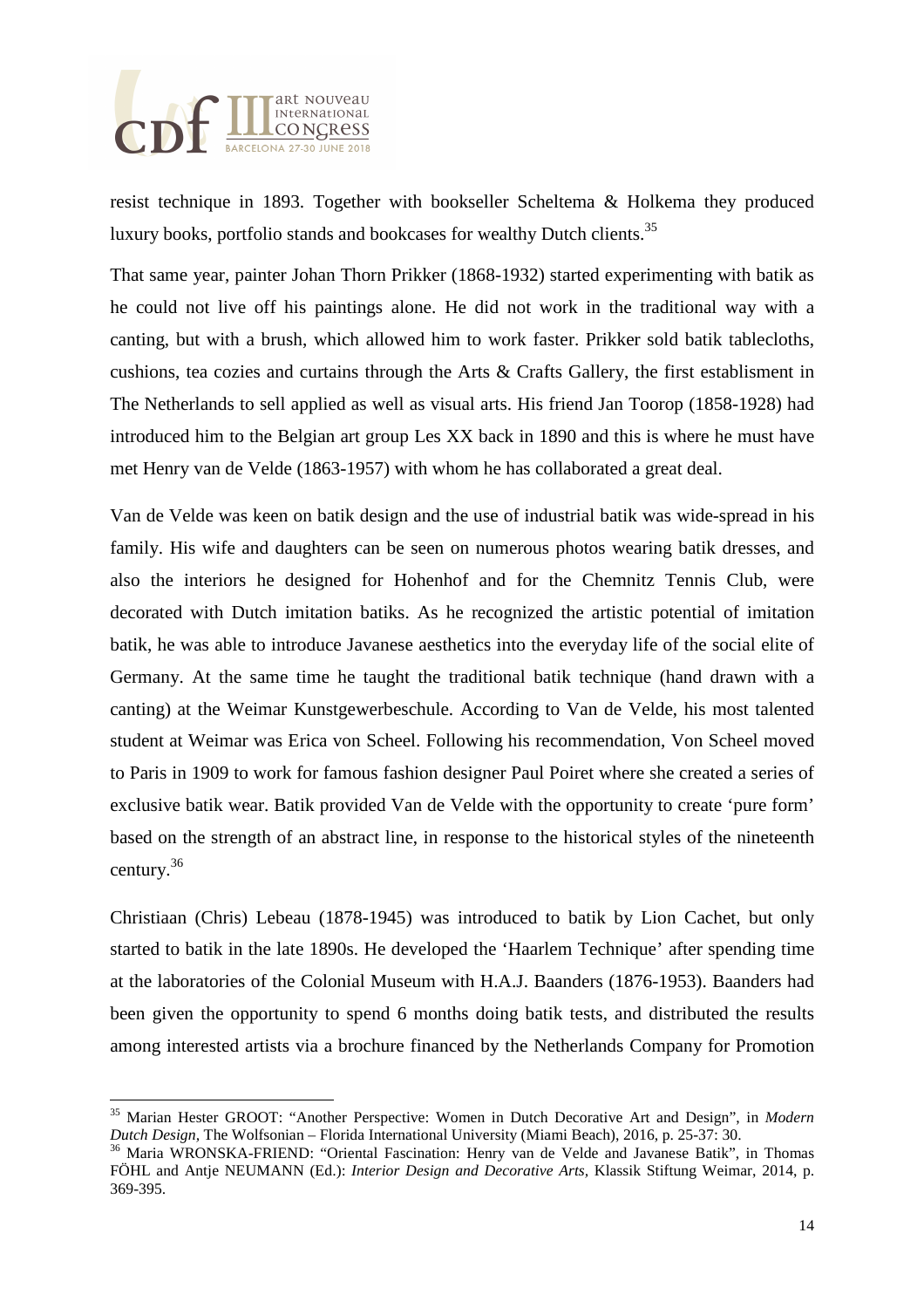

l

resist technique in 1893. Together with bookseller Scheltema & Holkema they produced luxury books, portfolio stands and bookcases for wealthy Dutch clients.<sup>35</sup>

That same year, painter Johan Thorn Prikker (1868-1932) started experimenting with batik as he could not live off his paintings alone. He did not work in the traditional way with a canting, but with a brush, which allowed him to work faster. Prikker sold batik tablecloths, cushions, tea cozies and curtains through the Arts & Crafts Gallery, the first establisment in The Netherlands to sell applied as well as visual arts. His friend Jan Toorop (1858-1928) had introduced him to the Belgian art group Les XX back in 1890 and this is where he must have met Henry van de Velde (1863-1957) with whom he has collaborated a great deal.

Van de Velde was keen on batik design and the use of industrial batik was wide-spread in his family. His wife and daughters can be seen on numerous photos wearing batik dresses, and also the interiors he designed for Hohenhof and for the Chemnitz Tennis Club, were decorated with Dutch imitation batiks. As he recognized the artistic potential of imitation batik, he was able to introduce Javanese aesthetics into the everyday life of the social elite of Germany. At the same time he taught the traditional batik technique (hand drawn with a canting) at the Weimar Kunstgewerbeschule. According to Van de Velde, his most talented student at Weimar was Erica von Scheel. Following his recommendation, Von Scheel moved to Paris in 1909 to work for famous fashion designer Paul Poiret where she created a series of exclusive batik wear. Batik provided Van de Velde with the opportunity to create 'pure form' based on the strength of an abstract line, in response to the historical styles of the nineteenth century.<sup>36</sup>

Christiaan (Chris) Lebeau (1878-1945) was introduced to batik by Lion Cachet, but only started to batik in the late 1890s. He developed the 'Haarlem Technique' after spending time at the laboratories of the Colonial Museum with H.A.J. Baanders (1876-1953). Baanders had been given the opportunity to spend 6 months doing batik tests, and distributed the results among interested artists via a brochure financed by the Netherlands Company for Promotion

<sup>35</sup> Marian Hester GROOT: "Another Perspective: Women in Dutch Decorative Art and Design", in *Modern Dutch Design,* The Wolfsonian – Florida International University (Miami Beach), 2016, p. 25-37: 30.

<sup>36</sup> Maria WRONSKA-FRIEND: "Oriental Fascination: Henry van de Velde and Javanese Batik", in Thomas FÖHL and Antje NEUMANN (Ed.): *Interior Design and Decorative Arts,* Klassik Stiftung Weimar, 2014, p. 369-395.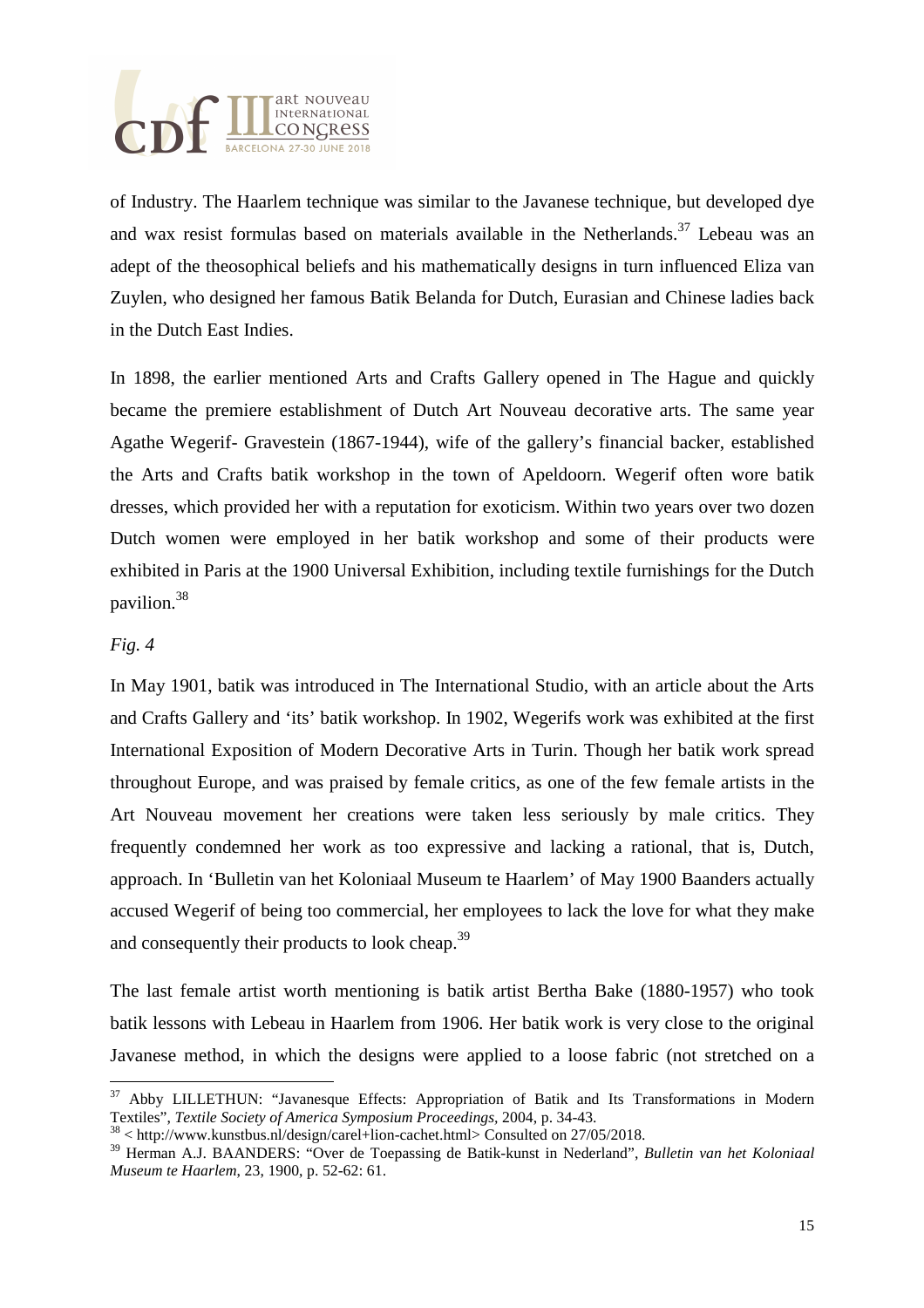

of Industry. The Haarlem technique was similar to the Javanese technique, but developed dye and wax resist formulas based on materials available in the Netherlands.<sup>37</sup> Lebeau was an adept of the theosophical beliefs and his mathematically designs in turn influenced Eliza van Zuylen, who designed her famous Batik Belanda for Dutch, Eurasian and Chinese ladies back in the Dutch East Indies.

In 1898, the earlier mentioned Arts and Crafts Gallery opened in The Hague and quickly became the premiere establishment of Dutch Art Nouveau decorative arts. The same year Agathe Wegerif- Gravestein (1867-1944), wife of the gallery's financial backer, established the Arts and Crafts batik workshop in the town of Apeldoorn. Wegerif often wore batik dresses, which provided her with a reputation for exoticism. Within two years over two dozen Dutch women were employed in her batik workshop and some of their products were exhibited in Paris at the 1900 Universal Exhibition, including textile furnishings for the Dutch pavilion.<sup>38</sup>

### *Fig. 4*

 $\overline{a}$ 

In May 1901, batik was introduced in The International Studio, with an article about the Arts and Crafts Gallery and 'its' batik workshop. In 1902, Wegerifs work was exhibited at the first International Exposition of Modern Decorative Arts in Turin. Though her batik work spread throughout Europe, and was praised by female critics, as one of the few female artists in the Art Nouveau movement her creations were taken less seriously by male critics. They frequently condemned her work as too expressive and lacking a rational, that is, Dutch, approach. In 'Bulletin van het Koloniaal Museum te Haarlem' of May 1900 Baanders actually accused Wegerif of being too commercial, her employees to lack the love for what they make and consequently their products to look cheap.<sup>39</sup>

The last female artist worth mentioning is batik artist Bertha Bake (1880-1957) who took batik lessons with Lebeau in Haarlem from 1906. Her batik work is very close to the original Javanese method, in which the designs were applied to a loose fabric (not stretched on a

<sup>&</sup>lt;sup>37</sup> Abby LILLETHUN: "Javanesque Effects: Appropriation of Batik and Its Transformations in Modern Textiles", *Textile Society of America Symposium Proceedings,* 2004, p. 34-43.

<sup>38</sup> < http://www.kunstbus.nl/design/carel+lion-cachet.html> Consulted on 27/05/2018.

<sup>39</sup> Herman A.J. BAANDERS: "Over de Toepassing de Batik-kunst in Nederland", *Bulletin van het Koloniaal Museum te Haarlem*, 23, 1900, p. 52-62: 61.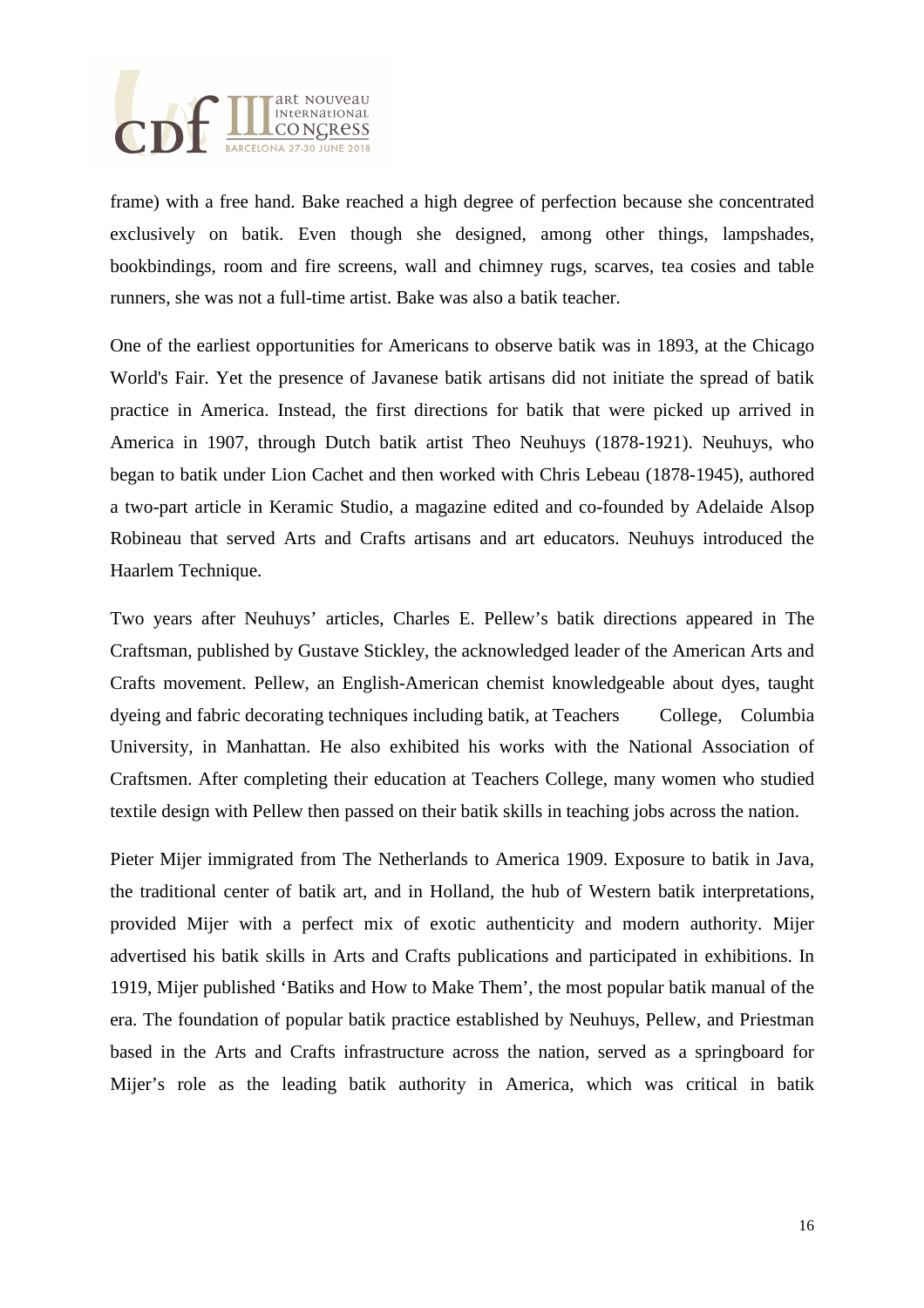

frame) with a free hand. Bake reached a high degree of perfection because she concentrated exclusively on batik. Even though she designed, among other things, lampshades, bookbindings, room and fire screens, wall and chimney rugs, scarves, tea cosies and table runners, she was not a full-time artist. Bake was also a batik teacher.

One of the earliest opportunities for Americans to observe batik was in 1893, at the Chicago World's Fair. Yet the presence of Javanese batik artisans did not initiate the spread of batik practice in America. Instead, the first directions for batik that were picked up arrived in America in 1907, through Dutch batik artist Theo Neuhuys (1878-1921). Neuhuys, who began to batik under Lion Cachet and then worked with Chris Lebeau (1878-1945), authored a two-part article in Keramic Studio, a magazine edited and co-founded by Adelaide Alsop Robineau that served Arts and Crafts artisans and art educators. Neuhuys introduced the Haarlem Technique.

Two years after Neuhuys' articles, Charles E. Pellew's batik directions appeared in The Craftsman, published by Gustave Stickley, the acknowledged leader of the American Arts and Crafts movement. Pellew, an English-American chemist knowledgeable about dyes, taught dyeing and fabric decorating techniques including batik, at Teachers College, Columbia University, in Manhattan. He also exhibited his works with the National Association of Craftsmen. After completing their education at Teachers College, many women who studied textile design with Pellew then passed on their batik skills in teaching jobs across the nation.

Pieter Mijer immigrated from The Netherlands to America 1909. Exposure to batik in Java, the traditional center of batik art, and in Holland, the hub of Western batik interpretations, provided Mijer with a perfect mix of exotic authenticity and modern authority. Mijer advertised his batik skills in Arts and Crafts publications and participated in exhibitions. In 1919, Mijer published 'Batiks and How to Make Them', the most popular batik manual of the era. The foundation of popular batik practice established by Neuhuys, Pellew, and Priestman based in the Arts and Crafts infrastructure across the nation, served as a springboard for Mijer's role as the leading batik authority in America, which was critical in batik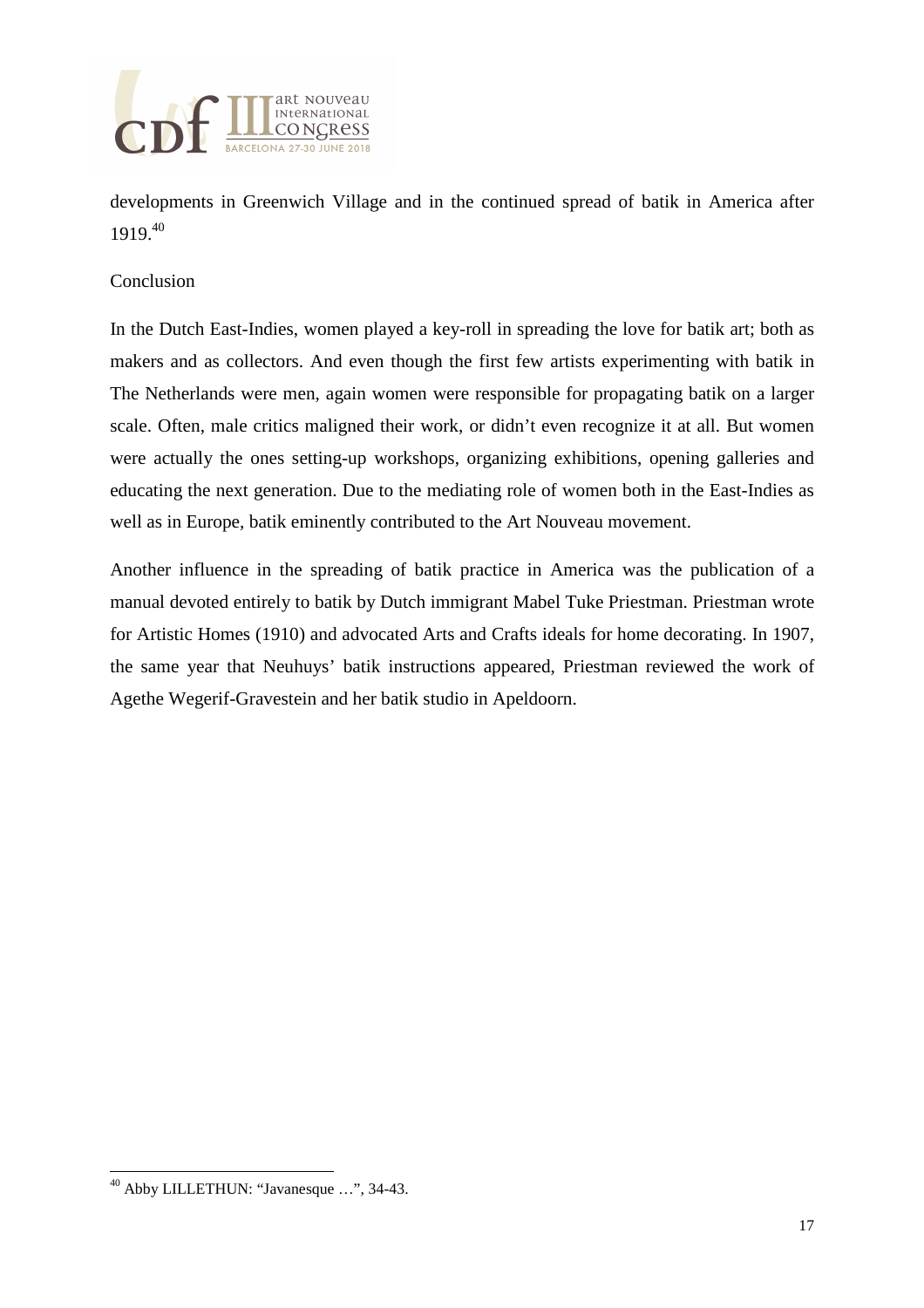

developments in Greenwich Village and in the continued spread of batik in America after 1919.<sup>40</sup>

### Conclusion

In the Dutch East-Indies, women played a key-roll in spreading the love for batik art; both as makers and as collectors. And even though the first few artists experimenting with batik in The Netherlands were men, again women were responsible for propagating batik on a larger scale. Often, male critics maligned their work, or didn't even recognize it at all. But women were actually the ones setting-up workshops, organizing exhibitions, opening galleries and educating the next generation. Due to the mediating role of women both in the East-Indies as well as in Europe, batik eminently contributed to the Art Nouveau movement.

Another influence in the spreading of batik practice in America was the publication of a manual devoted entirely to batik by Dutch immigrant Mabel Tuke Priestman. Priestman wrote for Artistic Homes (1910) and advocated Arts and Crafts ideals for home decorating. In 1907, the same year that Neuhuys' batik instructions appeared, Priestman reviewed the work of Agethe Wegerif-Gravestein and her batik studio in Apeldoorn.

<sup>40</sup> Abby LILLETHUN: "Javanesque …", 34-43.